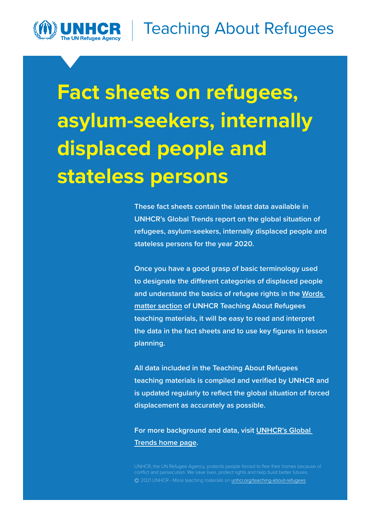

**These fact sheets contain the latest data available in UNHCR's Global Trends report on the global situation of refugees, asylum-seekers, internally displaced people and stateless persons for the year 2020.** 

**Once you have a good grasp of basic terminology used to designate the different categories of displaced people and understand the basics of refugee rights in the [Words](http://www.unhcr.org/teaching-about-refugees.html#words)  [matter section](http://www.unhcr.org/teaching-about-refugees.html#words) of UNHCR Teaching About Refugees teaching materials, it will be easy to read and interpret the data in the fact sheets and to use key figures in lesson planning.** 

**All data included in the Teaching About Refugees teaching materials is compiled and verified by UNHCR and is updated regularly to reflect the global situation of forced displacement as accurately as possible.** 

**For more background and data, visit [UNHCR's Global](https://www.unhcr.org/flagship-reports/globaltrends/)  [Trends home page](https://www.unhcr.org/flagship-reports/globaltrends/).**

**©** 2021 UNHCR - More teaching materials on [unhcr.org/teaching-about-refugees](http://www.unhcr.org/teaching-about-refugees.html)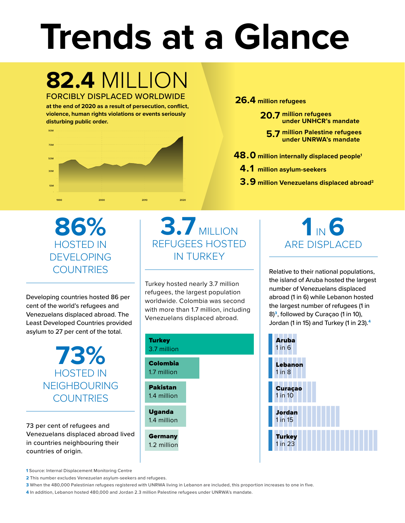# **Trends at a Glance**

## **82.4** MILLION FORCIBLY DISPLACED WORLDWIDE

**at the end of 2020 as a result of persecution, conflict, violence, human rights violations or events seriously disturbing public order.**



**26.4 million refugees**

**20.7 million refugees under UNHCR's mandate**

**5.7 million Palestine refugees under UNRWA's mandate**

- **48.0 million internally displaced people1**
	- **4.1 million asylum-seekers**
	- **3.9 million Venezuelans displaced abroad2**

**86%** HOSTED IN DEVELOPING **COUNTRIES** 

Developing countries hosted 86 per cent of the world's refugees and Venezuelans displaced abroad. The Least Developed Countries provided asylum to 27 per cent of the total.

> **73%** HOSTED IN NEIGHBOURING **COUNTRIES**

73 per cent of refugees and Venezuelans displaced abroad lived in countries neighbouring their countries of origin.

**3.7** MILLION REFUGEES HOSTED IN TURKEY

Turkey hosted nearly 3.7 million refugees, the largest population worldwide. Colombia was second with more than 1.7 million, including Venezuelans displaced abroad.



# **1** IN **6** ARE DISPLACED

Relative to their national populations, the island of Aruba hosted the largest number of Venezuelans displaced abroad (1 in 6) while Lebanon hosted the largest number of refugees (1 in 8)**<sup>3</sup>**, followed by Curaçao (1 in 10), Jordan (1 in 15) and Turkey (1 in 23).**<sup>4</sup>**



**1** Source: Internal Displacement Monitoring Centre

**2** This number excludes Venezuelan asylum-seekers and refugees.

**3** When the 480,000 Palestinian refugees registered with UNRWA living in Lebanon are included, this proportion increases to one in five.

**4** In addition, Lebanon hosted 480,000 and Jordan 2.3 million Palestine refugees under UNRWA's mandate.